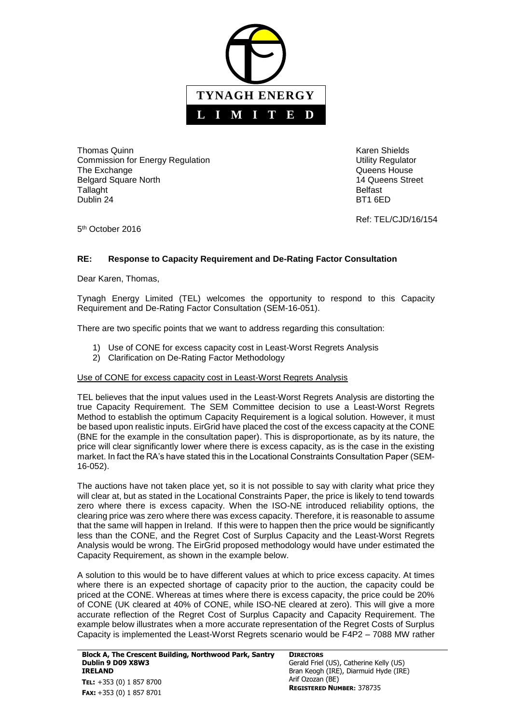

**Thomas Quinn Community Community Community Community Community Community Community Community Community Community** Commission for Energy Regulation **Network 1989** Utility Regulator The Exchange **The Exchange CONSISTENT CONSISTENT Queens House Queens** House Belgard Square North 14 Queens Street Tallaght **Belfast** Dublin 24 BT1 6ED

Ref: TEL/CJD/16/154

5<sup>th</sup> October 2016

## **RE: Response to Capacity Requirement and De-Rating Factor Consultation**

Dear Karen, Thomas,

Tynagh Energy Limited (TEL) welcomes the opportunity to respond to this Capacity Requirement and De-Rating Factor Consultation (SEM-16-051).

There are two specific points that we want to address regarding this consultation:

- 1) Use of CONE for excess capacity cost in Least-Worst Regrets Analysis
- 2) Clarification on De-Rating Factor Methodology

## Use of CONE for excess capacity cost in Least-Worst Regrets Analysis

TEL believes that the input values used in the Least-Worst Regrets Analysis are distorting the true Capacity Requirement. The SEM Committee decision to use a Least-Worst Regrets Method to establish the optimum Capacity Requirement is a logical solution. However, it must be based upon realistic inputs. EirGrid have placed the cost of the excess capacity at the CONE (BNE for the example in the consultation paper). This is disproportionate, as by its nature, the price will clear significantly lower where there is excess capacity, as is the case in the existing market. In fact the RA's have stated this in the Locational Constraints Consultation Paper (SEM-16-052).

The auctions have not taken place yet, so it is not possible to say with clarity what price they will clear at, but as stated in the Locational Constraints Paper, the price is likely to tend towards zero where there is excess capacity. When the ISO-NE introduced reliability options, the clearing price was zero where there was excess capacity. Therefore, it is reasonable to assume that the same will happen in Ireland. If this were to happen then the price would be significantly less than the CONE, and the Regret Cost of Surplus Capacity and the Least-Worst Regrets Analysis would be wrong. The EirGrid proposed methodology would have under estimated the Capacity Requirement, as shown in the example below.

A solution to this would be to have different values at which to price excess capacity. At times where there is an expected shortage of capacity prior to the auction, the capacity could be priced at the CONE. Whereas at times where there is excess capacity, the price could be 20% of CONE (UK cleared at 40% of CONE, while ISO-NE cleared at zero). This will give a more accurate reflection of the Regret Cost of Surplus Capacity and Capacity Requirement. The example below illustrates when a more accurate representation of the Regret Costs of Surplus Capacity is implemented the Least-Worst Regrets scenario would be F4P2 – 7088 MW rather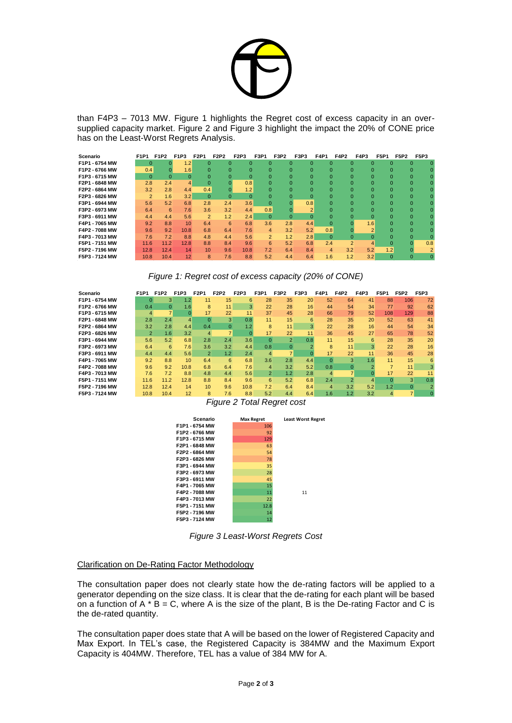

than F4P3 – 7013 MW. Figure 1 highlights the Regret cost of excess capacity in an oversupplied capacity market. Figure 2 and Figure 3 highlight the impact the 20% of CONE price has on the Least-Worst Regrets Analysis.

| Scenario       | F1P1           | <b>F1P2</b> | <b>F1P3</b>     | F2P1            | <b>F2P2</b> | F2P3         | F3P1           | F3P2     | F3P3           | <b>F4P1</b>  | <b>F4P2</b>    | <b>F4P3</b> | <b>F5P1</b>                | <b>F5P2</b> | <b>F5P3</b> |
|----------------|----------------|-------------|-----------------|-----------------|-------------|--------------|----------------|----------|----------------|--------------|----------------|-------------|----------------------------|-------------|-------------|
| F1P1 - 6754 MW | $\Omega$       |             | (2)             | $\Omega$        | $\Omega$    | $\mathbf{0}$ | $\Omega$       | $\Omega$ | $\Omega$       | $\Omega$     | $\Omega$       |             | $\Omega$<br>$\Omega$       | $\Omega$    |             |
| F1P2 - 6766 MW | 0.4            |             | 1.6             | $\Omega$        | $\Omega$    | $\Omega$     | $\Omega$       | $\Omega$ | $\Omega$       | <sup>0</sup> | $\Omega$       |             | $\Omega$<br>$\Omega$       | $\Omega$    |             |
| F1P3 - 6715 MW | $\Omega$       | $\Omega$    | $\Omega$        | $\Omega$        | $\Omega$    | $\mathbf{0}$ | $\Omega$       | $\Omega$ | $\Omega$       | $\Omega$     | $\Omega$       |             | $\Omega$<br>$\Omega$       | $\Omega$    |             |
| F2P1 - 6848 MW | 2.8            | 2.4         |                 | $\Omega$        |             | 0.8          | 0              | $\Omega$ | $\Omega$       |              |                |             | $\Omega$<br>$\Omega$       | $\Omega$    |             |
| F2P2 - 6864 MW | 3.2            | 2.8         | 4.4             | 0.4             | $\Omega$    | 1.2          | $\Omega$       | $\Omega$ | $\Omega$       | O            | $\Omega$       |             | $\Omega$<br>$\Omega$       | $\Omega$    |             |
| F2P3 - 6826 MW | $\overline{2}$ | 1.6         | 3.2             | $\Omega$        | $\Omega$    | $\mathbf{0}$ | 0              | $\Omega$ | $\Omega$       | $\Omega$     |                |             | $\Omega$<br>$\Omega$       | $\Omega$    |             |
| F3P1 - 6944 MW | 5.6            | 5.2         | 6.8             | 2.8             | 2.4         | 3.6          | 0              |          | 0.8            |              |                |             | $\Omega$<br>$\Omega$       | $\Omega$    |             |
| F3P2 - 6973 MW | 6.4            | 6           | 7.6             | 3.6             | 3.2         | 4.4          | 0.8            | $\Omega$ | $\overline{2}$ | O            | $\Omega$       |             | $\Omega$<br>$\Omega$       | $\Omega$    |             |
| F3P3 - 6911 MW | 4.4            | 4.4         | 5.6             | $\overline{2}$  | 1.2         | 2.4          | $\Omega$       | $\Omega$ | $\Omega$       | <sup>0</sup> |                |             | $\Omega$<br>$\Omega$       | $\Omega$    |             |
| F4P1 - 7065 MW | 9.2            | 8.8         | 10 <sup>1</sup> | 6.4             | 6           | 6.8          | 3.6            | 2.8      | 4.4            | $\mathbf{0}$ |                | 1.6         |                            | $\Omega$    |             |
| F4P2 - 7088 MW | 9.6            | 9.2         | 10.8            | 6.8             | 6.4         | 7.6          | 4              | 3.2      | 5.2            | 0.8          |                |             | $\overline{2}$<br>$\Omega$ | $\Omega$    |             |
| F4P3 - 7013 MW | 7.6            | 7.2         | 8.8             | 4.8             | 4.4         | 5.6          | $\overline{2}$ | 1.2      | 2.8            | $\Omega$     | $\Omega$       |             | $\Omega$                   | $\Omega$    |             |
| F5P1 - 7151 MW | 11.6           | 11.2        | 12.8            | 8.8             | 8.4         | 9.6          | 6              | 5.2      | 6.8            | 2.4          | $\overline{2}$ |             | $\overline{\mathbf{A}}$    |             | 0.8         |
| F5P2 - 7196 MW | 12.8           | 12.4        | 14              | 10 <sup>1</sup> | 9.6         | 10.8         | 7.2            | 6.4      | 8.4            | 4            | 3.2            | 5.2         | 1.2                        |             | 2           |
| F5P3 - 7124 MW | 10.8           | 10.4        | 12              | 8               | 7.6         | 8.8          | 5.2            | 4.4      | 6.4            | 1.6          | 1.2            | 3.2         | $\Omega$                   | $\Omega$    | $\Omega$    |

*Figure 1: Regret cost of excess capacity (20% of CONE)*

| Scenario       | <b>F1P1</b>    | <b>F1P2</b>              | F1P3             | <b>F2P1</b>     | <b>F2P2</b>    | <b>F2P3</b> | <b>F3P1</b>    | F3P2           | F3P3 | <b>F4P1</b> | F4P2                     | F4P3 | <b>F5P1</b> | <b>F5P2</b> | <b>F5P3</b> |
|----------------|----------------|--------------------------|------------------|-----------------|----------------|-------------|----------------|----------------|------|-------------|--------------------------|------|-------------|-------------|-------------|
| F1P1 - 6754 MW | $\Omega$       | 3                        | 1.2 <sub>1</sub> | 11              | 15             | 6           | 28             | 35             | 20   | 52          | 64                       | 41   | 88          | 106         | 72          |
| F1P2 - 6766 MW | 0.4            | $\Omega$                 | 1.6              | 8               | 11             | 3           | 22             | 28             | 16   | 44          | 54                       | 34   | 77          | 92          | 62          |
| F1P3 - 6715 MW |                | $\overline{\phantom{a}}$ |                  | 17              | 22             | 11          | 37             | 45             | 28   | 66          | 79                       | 52   | 108         | 129         | 88          |
| F2P1 - 6848 MW | 2.8            | 2.4                      | 4                | $\Omega$        | 3              | 0.8         | 11             | 15             | 6    | 28          | 35                       | 20   | 52          | 63          | 41          |
| F2P2 - 6864 MW | 3.2            | 2.8                      | 4.4              | $0.4^{\circ}$   | $\Omega$       | 1.2         | 8              | 11             | 3    | 22          | 28                       | 16   | 44          | 54          | 34          |
| F2P3 - 6826 MW | $\overline{2}$ | 1.6                      | 3.2              | $\overline{4}$  | $\overline{7}$ |             | 17             | 22             | 11   | 36          | 45                       | 27   | 65          | 78          | 52          |
| F3P1 - 6944 MW | 5.6            | 5.2                      | 6.8              | 2.8             | 2.4            | 3.6         | $\Omega$       | $\overline{2}$ | 0.8  | 11          | 15                       | 6    | 28          | 35          | 20          |
| F3P2 - 6973 MW | 6.4            | 6                        | 7.6              | 3.6             | 3.2            | 4.4         | 0.8            | $\Omega$       |      | 8           | 11                       | 3    | 22          | 28          | 16          |
| F3P3 - 6911 MW | 4.4            | 4.4                      | 5.6              | $\overline{2}$  | 1.2            | 2.4         | 4              | $\overline{7}$ |      | 17          | 22                       | 11   | 36          | 45          | 28          |
| F4P1 - 7065 MW | 9.2            | 8.8                      | 10 <sup>1</sup>  | 6.4             | 6              | 6.8         | 3.6            | 2.8            | 4.4  | 0           | 3                        | 1.6  | 11          | 15          | 6           |
| F4P2 - 7088 MW | 9.6            | 9.2                      | 10.8             | 6.8             | 6.4            | 7.6         | 4              | 3.2            | 5.2  | 0.8         |                          |      |             | 11          | 3           |
| F4P3 - 7013 MW | 7.6            | 7.2                      | 8.8              | 4.8             | 4.4            | 5.6         | $\overline{2}$ | 1.2            | 2.8  | 4           | $\overline{\phantom{a}}$ |      | 17          | 22          | 11          |
| F5P1 - 7151 MW | 11.6           | 11.2                     | 12.8             | 8.8             | 8.4            | 9.6         | 6              | 5.2            | 6.8  | 2.4         | $\overline{2}$           |      | $\Omega$    | 3           | 0.8         |
| F5P2 - 7196 MW | 12.8           | 12.4                     | 14               | 10 <sup>1</sup> | 9.6            | 10.8        | 7.2            | 6.4            | 8.4  | 4           | 3.2                      | 5.2  | 1.2         | $\Omega$    |             |
| F5P3 - 7124 MW | 10.8           | 10.4                     | 12               | 8               | 7.6            | 8.8         | 5.2            | 4.4            | 6.4  | 1.6         | 1.2                      | 3.2  | 4           | 7           |             |

*Figure 2 Total Regret cost*



*Figure 3 Least-Worst Regrets Cost*

## Clarification on De-Rating Factor Methodology

The consultation paper does not clearly state how the de-rating factors will be applied to a generator depending on the size class. It is clear that the de-rating for each plant will be based on a function of  $A * B = C$ , where A is the size of the plant, B is the De-rating Factor and C is the de-rated quantity.

The consultation paper does state that A will be based on the lower of Registered Capacity and Max Export. In TEL's case, the Registered Capacity is 384MW and the Maximum Export Capacity is 404MW. Therefore, TEL has a value of 384 MW for A.